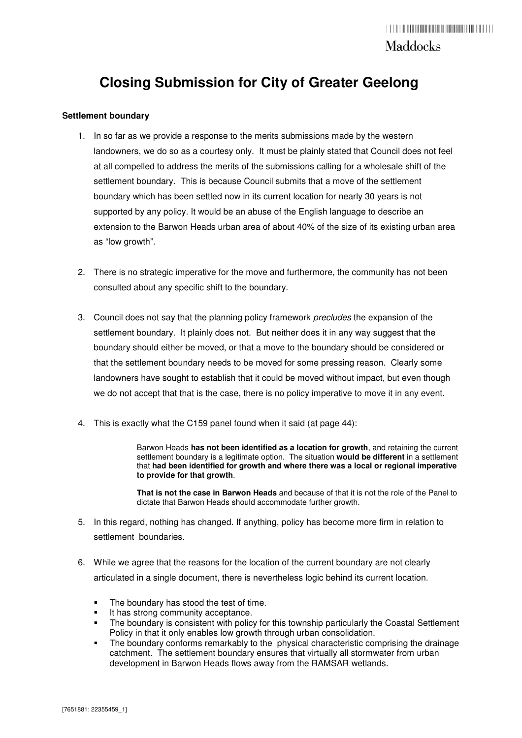## **Closing Submission for City of Greater Geelong**

#### **Settlement boundary**

- 1. In so far as we provide a response to the merits submissions made by the western landowners, we do so as a courtesy only. It must be plainly stated that Council does not feel at all compelled to address the merits of the submissions calling for a wholesale shift of the settlement boundary. This is because Council submits that a move of the settlement boundary which has been settled now in its current location for nearly 30 years is not supported by any policy. It would be an abuse of the English language to describe an extension to the Barwon Heads urban area of about 40% of the size of its existing urban area as "low growth".
- 2. There is no strategic imperative for the move and furthermore, the community has not been consulted about any specific shift to the boundary.
- 3. Council does not say that the planning policy framework precludes the expansion of the settlement boundary. It plainly does not. But neither does it in any way suggest that the boundary should either be moved, or that a move to the boundary should be considered or that the settlement boundary needs to be moved for some pressing reason. Clearly some landowners have sought to establish that it could be moved without impact, but even though we do not accept that that is the case, there is no policy imperative to move it in any event.
- 4. This is exactly what the C159 panel found when it said (at page 44):

Barwon Heads **has not been identified as a location for growth**, and retaining the current settlement boundary is a legitimate option. The situation **would be different** in a settlement that **had been identified for growth and where there was a local or regional imperative to provide for that growth**.

**That is not the case in Barwon Heads** and because of that it is not the role of the Panel to dictate that Barwon Heads should accommodate further growth.

- 5. In this regard, nothing has changed. If anything, policy has become more firm in relation to settlement boundaries.
- 6. While we agree that the reasons for the location of the current boundary are not clearly articulated in a single document, there is nevertheless logic behind its current location.
	- The boundary has stood the test of time.
	- It has strong community acceptance.
	- The boundary is consistent with policy for this township particularly the Coastal Settlement Policy in that it only enables low growth through urban consolidation.
	- The boundary conforms remarkably to the physical characteristic comprising the drainage catchment. The settlement boundary ensures that virtually all stormwater from urban development in Barwon Heads flows away from the RAMSAR wetlands.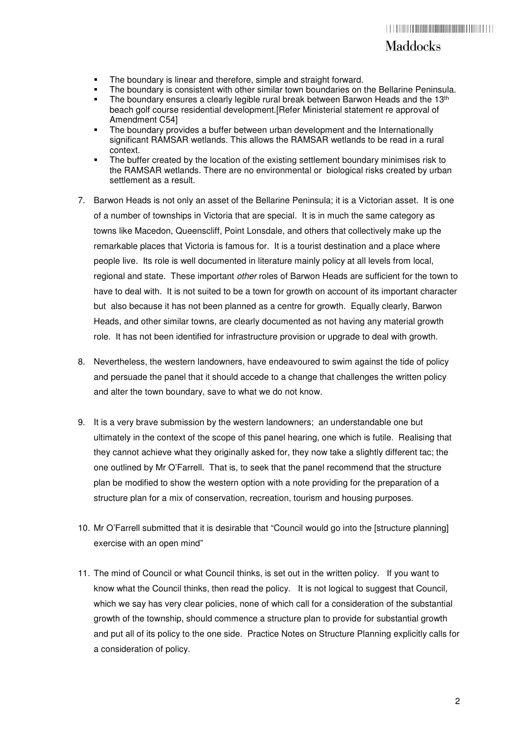### Maddocks

- The boundary is linear and therefore, simple and straight forward.
- The boundary is consistent with other similar town boundaries on the Bellarine Peninsula.
- The boundary ensures a clearly legible rural break between Barwon Heads and the  $13<sup>th</sup>$ beach golf course residential development.[Refer Ministerial statement re approval of Amendment C54]
- The boundary provides a buffer between urban development and the Internationally significant RAMSAR wetlands. This allows the RAMSAR wetlands to be read in a rural context.
- The buffer created by the location of the existing settlement boundary minimises risk to the RAMSAR wetlands. There are no environmental or biological risks created by urban settlement as a result.
- 7. Barwon Heads is not only an asset of the Bellarine Peninsula; it is a Victorian asset. It is one of a number of townships in Victoria that are special. It is in much the same category as towns like Macedon, Queenscliff, Point Lonsdale, and others that collectively make up the remarkable places that Victoria is famous for. It is a tourist destination and a place where people live. Its role is well documented in literature mainly policy at all levels from local, regional and state. These important *other* roles of Barwon Heads are sufficient for the town to have to deal with. It is not suited to be a town for growth on account of its important character but also because it has not been planned as a centre for growth. Equally clearly, Barwon Heads, and other similar towns, are clearly documented as not having any material growth role. It has not been identified for infrastructure provision or upgrade to deal with growth.
- 8. Nevertheless, the western landowners, have endeavoured to swim against the tide of policy and persuade the panel that it should accede to a change that challenges the written policy and alter the town boundary, save to what we do not know.
- 9. It is a very brave submission by the western landowners; an understandable one but ultimately in the context of the scope of this panel hearing, one which is futile. Realising that they cannot achieve what they originally asked for, they now take a slightly different tac; the one outlined by Mr O'Farrell. That is, to seek that the panel recommend that the structure plan be modified to show the western option with a note providing for the preparation of a structure plan for a mix of conservation, recreation, tourism and housing purposes.
- 10. Mr O'Farrell submitted that it is desirable that "Council would go into the [structure planning] exercise with an open mind"
- 11. The mind of Council or what Council thinks, is set out in the written policy. If you want to know what the Council thinks, then read the policy. It is not logical to suggest that Council, which we say has very clear policies, none of which call for a consideration of the substantial growth of the township, should commence a structure plan to provide for substantial growth and put all of its policy to the one side. Practice Notes on Structure Planning explicitly calls for a consideration of policy.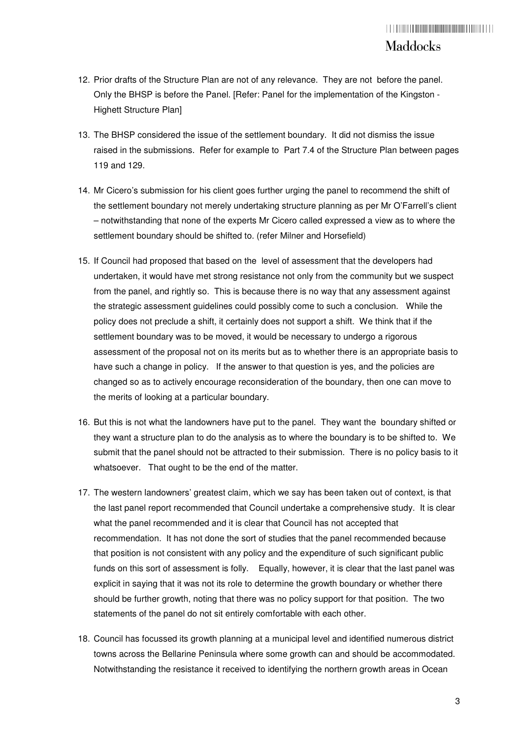- 12. Prior drafts of the Structure Plan are not of any relevance. They are not before the panel. Only the BHSP is before the Panel. [Refer: Panel for the implementation of the Kingston - Highett Structure Plan]
- 13. The BHSP considered the issue of the settlement boundary. It did not dismiss the issue raised in the submissions. Refer for example to Part 7.4 of the Structure Plan between pages 119 and 129.
- 14. Mr Cicero's submission for his client goes further urging the panel to recommend the shift of the settlement boundary not merely undertaking structure planning as per Mr O'Farrell's client – notwithstanding that none of the experts Mr Cicero called expressed a view as to where the settlement boundary should be shifted to. (refer Milner and Horsefield)
- 15. If Council had proposed that based on the level of assessment that the developers had undertaken, it would have met strong resistance not only from the community but we suspect from the panel, and rightly so. This is because there is no way that any assessment against the strategic assessment guidelines could possibly come to such a conclusion. While the policy does not preclude a shift, it certainly does not support a shift. We think that if the settlement boundary was to be moved, it would be necessary to undergo a rigorous assessment of the proposal not on its merits but as to whether there is an appropriate basis to have such a change in policy. If the answer to that question is yes, and the policies are changed so as to actively encourage reconsideration of the boundary, then one can move to the merits of looking at a particular boundary.
- 16. But this is not what the landowners have put to the panel. They want the boundary shifted or they want a structure plan to do the analysis as to where the boundary is to be shifted to. We submit that the panel should not be attracted to their submission. There is no policy basis to it whatsoever. That ought to be the end of the matter.
- 17. The western landowners' greatest claim, which we say has been taken out of context, is that the last panel report recommended that Council undertake a comprehensive study. It is clear what the panel recommended and it is clear that Council has not accepted that recommendation. It has not done the sort of studies that the panel recommended because that position is not consistent with any policy and the expenditure of such significant public funds on this sort of assessment is folly. Equally, however, it is clear that the last panel was explicit in saying that it was not its role to determine the growth boundary or whether there should be further growth, noting that there was no policy support for that position. The two statements of the panel do not sit entirely comfortable with each other.
- 18. Council has focussed its growth planning at a municipal level and identified numerous district towns across the Bellarine Peninsula where some growth can and should be accommodated. Notwithstanding the resistance it received to identifying the northern growth areas in Ocean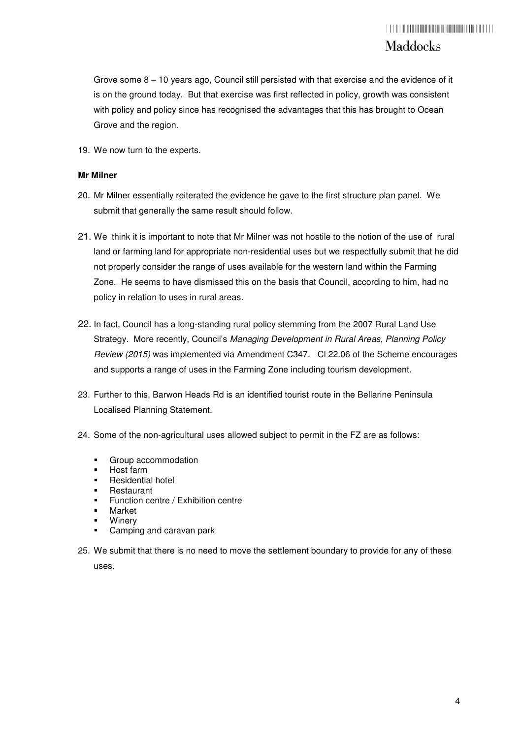Grove some  $8 - 10$  years ago, Council still persisted with that exercise and the evidence of it is on the ground today. But that exercise was first reflected in policy, growth was consistent with policy and policy since has recognised the advantages that this has brought to Ocean Grove and the region.

19. We now turn to the experts.

#### **Mr Milner**

- 20. Mr Milner essentially reiterated the evidence he gave to the first structure plan panel. We submit that generally the same result should follow.
- 21. We think it is important to note that Mr Milner was not hostile to the notion of the use of rural land or farming land for appropriate non-residential uses but we respectfully submit that he did not properly consider the range of uses available for the western land within the Farming Zone. He seems to have dismissed this on the basis that Council, according to him, had no policy in relation to uses in rural areas.
- 22. In fact, Council has a long-standing rural policy stemming from the 2007 Rural Land Use Strategy. More recently, Council's Managing Development in Rural Areas, Planning Policy Review (2015) was implemented via Amendment C347. Cl 22.06 of the Scheme encourages and supports a range of uses in the Farming Zone including tourism development.
- 23. Further to this, Barwon Heads Rd is an identified tourist route in the Bellarine Peninsula Localised Planning Statement.
- 24. Some of the non-agricultural uses allowed subject to permit in the FZ are as follows:
	- **Group accommodation**
	- Host farm
	- **Residential hotel**
	- **Restaurant**
	- **Function centre / Exhibition centre**
	- Market
	- **Winery**
	- Camping and caravan park
- 25. We submit that there is no need to move the settlement boundary to provide for any of these uses.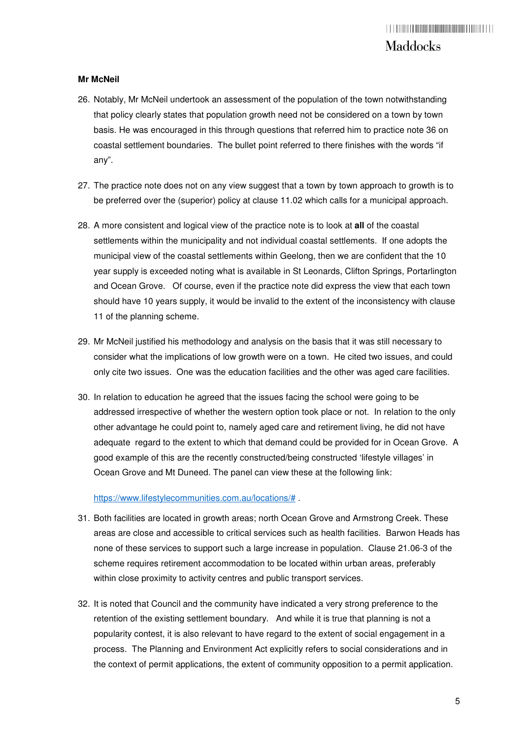#### **Mr McNeil**

- 26. Notably, Mr McNeil undertook an assessment of the population of the town notwithstanding that policy clearly states that population growth need not be considered on a town by town basis. He was encouraged in this through questions that referred him to practice note 36 on coastal settlement boundaries. The bullet point referred to there finishes with the words "if any".
- 27. The practice note does not on any view suggest that a town by town approach to growth is to be preferred over the (superior) policy at clause 11.02 which calls for a municipal approach.
- 28. A more consistent and logical view of the practice note is to look at **all** of the coastal settlements within the municipality and not individual coastal settlements. If one adopts the municipal view of the coastal settlements within Geelong, then we are confident that the 10 year supply is exceeded noting what is available in St Leonards, Clifton Springs, Portarlington and Ocean Grove. Of course, even if the practice note did express the view that each town should have 10 years supply, it would be invalid to the extent of the inconsistency with clause 11 of the planning scheme.
- 29. Mr McNeil justified his methodology and analysis on the basis that it was still necessary to consider what the implications of low growth were on a town. He cited two issues, and could only cite two issues. One was the education facilities and the other was aged care facilities.
- 30. In relation to education he agreed that the issues facing the school were going to be addressed irrespective of whether the western option took place or not. In relation to the only other advantage he could point to, namely aged care and retirement living, he did not have adequate regard to the extent to which that demand could be provided for in Ocean Grove. A good example of this are the recently constructed/being constructed 'lifestyle villages' in Ocean Grove and Mt Duneed. The panel can view these at the following link:

https://www.lifestylecommunities.com.au/locations/# .

- 31. Both facilities are located in growth areas; north Ocean Grove and Armstrong Creek. These areas are close and accessible to critical services such as health facilities. Barwon Heads has none of these services to support such a large increase in population. Clause 21.06-3 of the scheme requires retirement accommodation to be located within urban areas, preferably within close proximity to activity centres and public transport services.
- 32. It is noted that Council and the community have indicated a very strong preference to the retention of the existing settlement boundary. And while it is true that planning is not a popularity contest, it is also relevant to have regard to the extent of social engagement in a process. The Planning and Environment Act explicitly refers to social considerations and in the context of permit applications, the extent of community opposition to a permit application.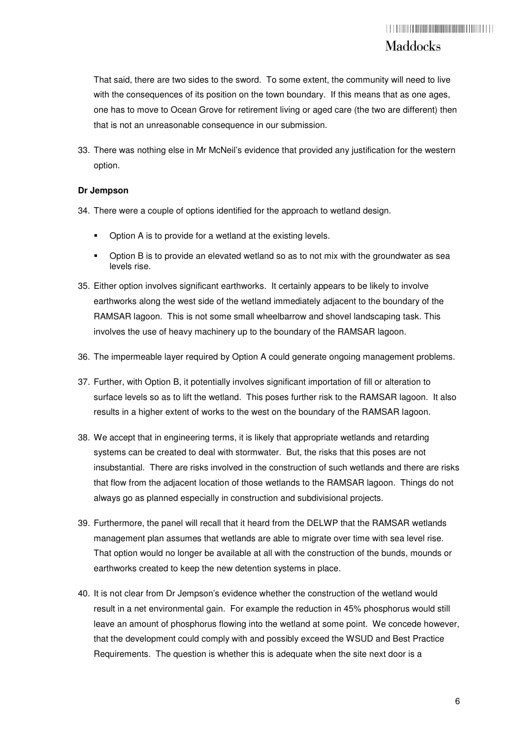That said, there are two sides to the sword. To some extent, the community will need to live with the consequences of its position on the town boundary. If this means that as one ages, one has to move to Ocean Grove for retirement living or aged care (the two are different) then that is not an unreasonable consequence in our submission.

33. There was nothing else in Mr McNeil's evidence that provided any justification for the western option.

#### **Dr Jempson**

- 34. There were a couple of options identified for the approach to wetland design.
	- Option A is to provide for a wetland at the existing levels.
	- Option B is to provide an elevated wetland so as to not mix with the groundwater as sea levels rise.
- 35. Either option involves significant earthworks. It certainly appears to be likely to involve earthworks along the west side of the wetland immediately adjacent to the boundary of the RAMSAR lagoon. This is not some small wheelbarrow and shovel landscaping task. This involves the use of heavy machinery up to the boundary of the RAMSAR lagoon.
- 36. The impermeable layer required by Option A could generate ongoing management problems.
- 37. Further, with Option B, it potentially involves significant importation of fill or alteration to surface levels so as to lift the wetland. This poses further risk to the RAMSAR lagoon. It also results in a higher extent of works to the west on the boundary of the RAMSAR lagoon.
- 38. We accept that in engineering terms, it is likely that appropriate wetlands and retarding systems can be created to deal with stormwater. But, the risks that this poses are not insubstantial. There are risks involved in the construction of such wetlands and there are risks that flow from the adjacent location of those wetlands to the RAMSAR lagoon. Things do not always go as planned especially in construction and subdivisional projects.
- 39. Furthermore, the panel will recall that it heard from the DELWP that the RAMSAR wetlands management plan assumes that wetlands are able to migrate over time with sea level rise. That option would no longer be available at all with the construction of the bunds, mounds or earthworks created to keep the new detention systems in place.
- 40. It is not clear from Dr Jempson's evidence whether the construction of the wetland would result in a net environmental gain. For example the reduction in 45% phosphorus would still leave an amount of phosphorus flowing into the wetland at some point. We concede however, that the development could comply with and possibly exceed the WSUD and Best Practice Requirements. The question is whether this is adequate when the site next door is a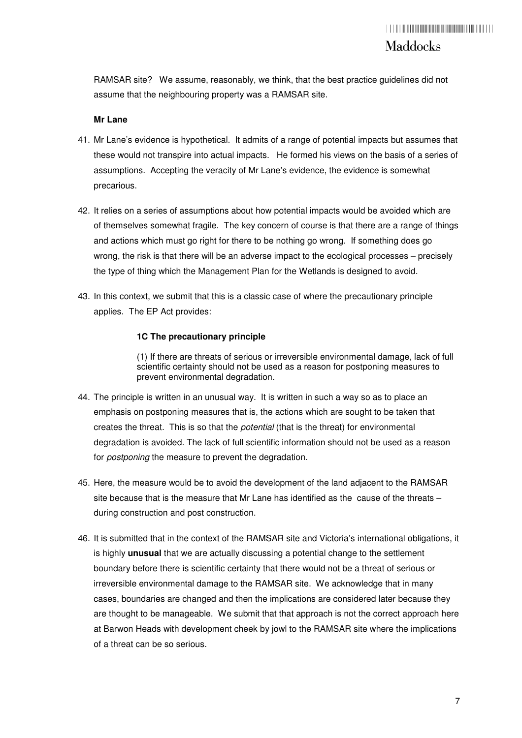RAMSAR site? We assume, reasonably, we think, that the best practice guidelines did not assume that the neighbouring property was a RAMSAR site.

#### **Mr Lane**

- 41. Mr Lane's evidence is hypothetical. It admits of a range of potential impacts but assumes that these would not transpire into actual impacts. He formed his views on the basis of a series of assumptions. Accepting the veracity of Mr Lane's evidence, the evidence is somewhat precarious.
- 42. It relies on a series of assumptions about how potential impacts would be avoided which are of themselves somewhat fragile. The key concern of course is that there are a range of things and actions which must go right for there to be nothing go wrong. If something does go wrong, the risk is that there will be an adverse impact to the ecological processes – precisely the type of thing which the Management Plan for the Wetlands is designed to avoid.
- 43. In this context, we submit that this is a classic case of where the precautionary principle applies. The EP Act provides:

#### **1C The precautionary principle**

(1) If there are threats of serious or irreversible environmental damage, lack of full scientific certainty should not be used as a reason for postponing measures to prevent environmental degradation.

- 44. The principle is written in an unusual way. It is written in such a way so as to place an emphasis on postponing measures that is, the actions which are sought to be taken that creates the threat. This is so that the *potential* (that is the threat) for environmental degradation is avoided. The lack of full scientific information should not be used as a reason for *postponing* the measure to prevent the degradation.
- 45. Here, the measure would be to avoid the development of the land adjacent to the RAMSAR site because that is the measure that Mr Lane has identified as the cause of the threats – during construction and post construction.
- 46. It is submitted that in the context of the RAMSAR site and Victoria's international obligations, it is highly **unusual** that we are actually discussing a potential change to the settlement boundary before there is scientific certainty that there would not be a threat of serious or irreversible environmental damage to the RAMSAR site. We acknowledge that in many cases, boundaries are changed and then the implications are considered later because they are thought to be manageable. We submit that that approach is not the correct approach here at Barwon Heads with development cheek by jowl to the RAMSAR site where the implications of a threat can be so serious.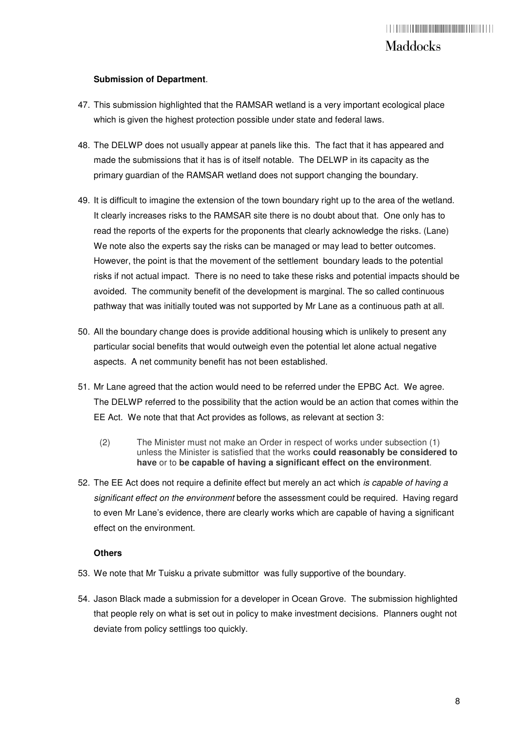#### **Submission of Department**.

- 47. This submission highlighted that the RAMSAR wetland is a very important ecological place which is given the highest protection possible under state and federal laws.
- 48. The DELWP does not usually appear at panels like this. The fact that it has appeared and made the submissions that it has is of itself notable. The DELWP in its capacity as the primary guardian of the RAMSAR wetland does not support changing the boundary.
- 49. It is difficult to imagine the extension of the town boundary right up to the area of the wetland. It clearly increases risks to the RAMSAR site there is no doubt about that. One only has to read the reports of the experts for the proponents that clearly acknowledge the risks. (Lane) We note also the experts say the risks can be managed or may lead to better outcomes. However, the point is that the movement of the settlement boundary leads to the potential risks if not actual impact. There is no need to take these risks and potential impacts should be avoided. The community benefit of the development is marginal. The so called continuous pathway that was initially touted was not supported by Mr Lane as a continuous path at all.
- 50. All the boundary change does is provide additional housing which is unlikely to present any particular social benefits that would outweigh even the potential let alone actual negative aspects. A net community benefit has not been established.
- 51. Mr Lane agreed that the action would need to be referred under the EPBC Act. We agree. The DELWP referred to the possibility that the action would be an action that comes within the EE Act. We note that that Act provides as follows, as relevant at section 3:
	- (2) The Minister must not make an Order in respect of works under subsection (1) unless the Minister is satisfied that the works **could reasonably be considered to have** or to **be capable of having a significant effect on the environment**.
- 52. The EE Act does not require a definite effect but merely an act which is capable of having a significant effect on the environment before the assessment could be required. Having regard to even Mr Lane's evidence, there are clearly works which are capable of having a significant effect on the environment.

#### **Others**

- 53. We note that Mr Tuisku a private submittor was fully supportive of the boundary.
- 54. Jason Black made a submission for a developer in Ocean Grove. The submission highlighted that people rely on what is set out in policy to make investment decisions. Planners ought not deviate from policy settlings too quickly.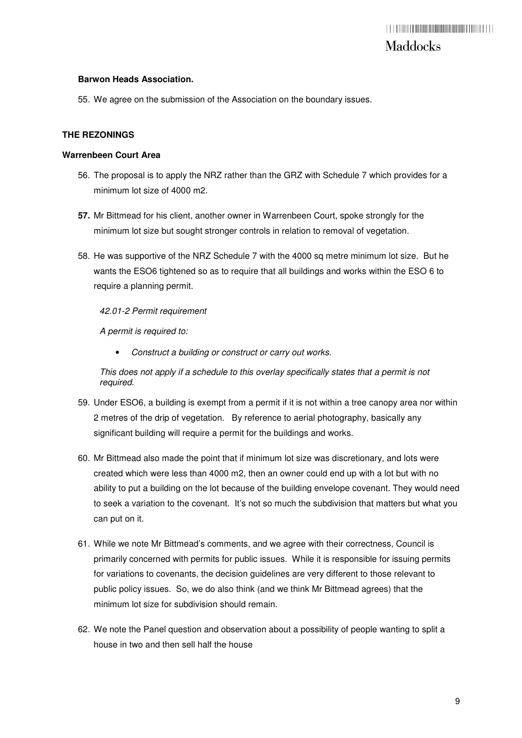#### **Barwon Heads Association.**

55. We agree on the submission of the Association on the boundary issues.

#### **THE REZONINGS**

#### **Warrenbeen Court Area**

- 56. The proposal is to apply the NRZ rather than the GRZ with Schedule 7 which provides for a minimum lot size of 4000 m2.
- **57.** Mr Bittmead for his client, another owner in Warrenbeen Court, spoke strongly for the minimum lot size but sought stronger controls in relation to removal of vegetation.
- 58. He was supportive of the NRZ Schedule 7 with the 4000 sq metre minimum lot size. But he wants the ESO6 tightened so as to require that all buildings and works within the ESO 6 to require a planning permit.

#### 42.01-2 Permit requirement

A permit is required to:

Construct a building or construct or carry out works.

This does not apply if a schedule to this overlay specifically states that a permit is not required.

- 59. Under ESO6, a building is exempt from a permit if it is not within a tree canopy area nor within 2 metres of the drip of vegetation. By reference to aerial photography, basically any significant building will require a permit for the buildings and works.
- 60. Mr Bittmead also made the point that if minimum lot size was discretionary, and lots were created which were less than 4000 m2, then an owner could end up with a lot but with no ability to put a building on the lot because of the building envelope covenant. They would need to seek a variation to the covenant. It's not so much the subdivision that matters but what you can put on it.
- 61. While we note Mr Bittmead's comments, and we agree with their correctness, Council is primarily concerned with permits for public issues. While it is responsible for issuing permits for variations to covenants, the decision guidelines are very different to those relevant to public policy issues. So, we do also think (and we think Mr Bittmead agrees) that the minimum lot size for subdivision should remain.
- 62. We note the Panel question and observation about a possibility of people wanting to split a house in two and then sell half the house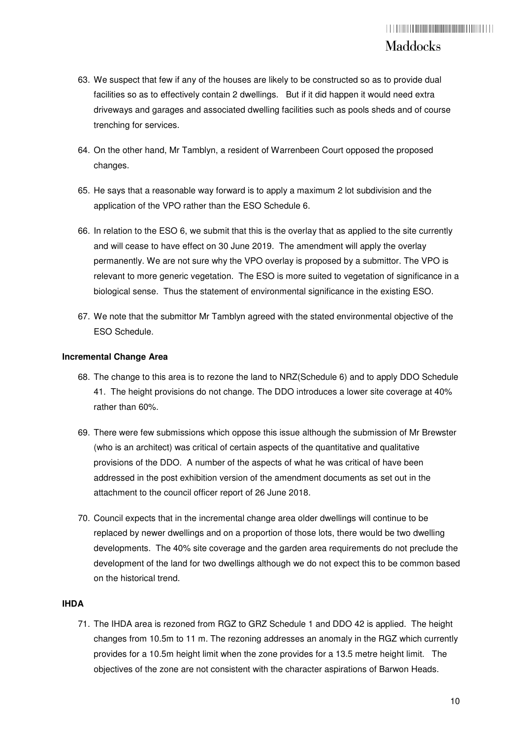- 63. We suspect that few if any of the houses are likely to be constructed so as to provide dual facilities so as to effectively contain 2 dwellings. But if it did happen it would need extra driveways and garages and associated dwelling facilities such as pools sheds and of course trenching for services.
- 64. On the other hand, Mr Tamblyn, a resident of Warrenbeen Court opposed the proposed changes.
- 65. He says that a reasonable way forward is to apply a maximum 2 lot subdivision and the application of the VPO rather than the ESO Schedule 6.
- 66. In relation to the ESO 6, we submit that this is the overlay that as applied to the site currently and will cease to have effect on 30 June 2019. The amendment will apply the overlay permanently. We are not sure why the VPO overlay is proposed by a submittor. The VPO is relevant to more generic vegetation. The ESO is more suited to vegetation of significance in a biological sense. Thus the statement of environmental significance in the existing ESO.
- 67. We note that the submittor Mr Tamblyn agreed with the stated environmental objective of the ESO Schedule.

#### **Incremental Change Area**

- 68. The change to this area is to rezone the land to NRZ(Schedule 6) and to apply DDO Schedule 41. The height provisions do not change. The DDO introduces a lower site coverage at 40% rather than 60%.
- 69. There were few submissions which oppose this issue although the submission of Mr Brewster (who is an architect) was critical of certain aspects of the quantitative and qualitative provisions of the DDO. A number of the aspects of what he was critical of have been addressed in the post exhibition version of the amendment documents as set out in the attachment to the council officer report of 26 June 2018.
- 70. Council expects that in the incremental change area older dwellings will continue to be replaced by newer dwellings and on a proportion of those lots, there would be two dwelling developments. The 40% site coverage and the garden area requirements do not preclude the development of the land for two dwellings although we do not expect this to be common based on the historical trend.

#### **IHDA**

71. The IHDA area is rezoned from RGZ to GRZ Schedule 1 and DDO 42 is applied. The height changes from 10.5m to 11 m. The rezoning addresses an anomaly in the RGZ which currently provides for a 10.5m height limit when the zone provides for a 13.5 metre height limit. The objectives of the zone are not consistent with the character aspirations of Barwon Heads.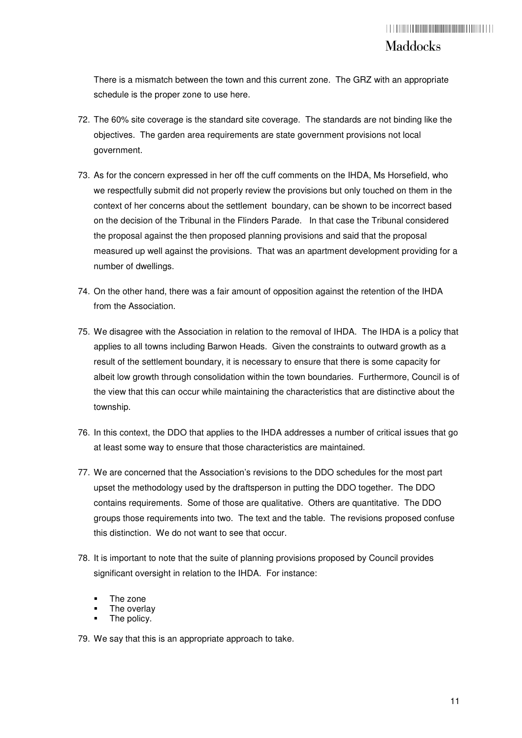There is a mismatch between the town and this current zone. The GRZ with an appropriate schedule is the proper zone to use here.

- 72. The 60% site coverage is the standard site coverage. The standards are not binding like the objectives. The garden area requirements are state government provisions not local government.
- 73. As for the concern expressed in her off the cuff comments on the IHDA, Ms Horsefield, who we respectfully submit did not properly review the provisions but only touched on them in the context of her concerns about the settlement boundary, can be shown to be incorrect based on the decision of the Tribunal in the Flinders Parade. In that case the Tribunal considered the proposal against the then proposed planning provisions and said that the proposal measured up well against the provisions. That was an apartment development providing for a number of dwellings.
- 74. On the other hand, there was a fair amount of opposition against the retention of the IHDA from the Association.
- 75. We disagree with the Association in relation to the removal of IHDA. The IHDA is a policy that applies to all towns including Barwon Heads. Given the constraints to outward growth as a result of the settlement boundary, it is necessary to ensure that there is some capacity for albeit low growth through consolidation within the town boundaries. Furthermore, Council is of the view that this can occur while maintaining the characteristics that are distinctive about the township.
- 76. In this context, the DDO that applies to the IHDA addresses a number of critical issues that go at least some way to ensure that those characteristics are maintained.
- 77. We are concerned that the Association's revisions to the DDO schedules for the most part upset the methodology used by the draftsperson in putting the DDO together. The DDO contains requirements. Some of those are qualitative. Others are quantitative. The DDO groups those requirements into two. The text and the table. The revisions proposed confuse this distinction. We do not want to see that occur.
- 78. It is important to note that the suite of planning provisions proposed by Council provides significant oversight in relation to the IHDA. For instance:
	- The zone
	- The overlay
	- The policy.

79. We say that this is an appropriate approach to take.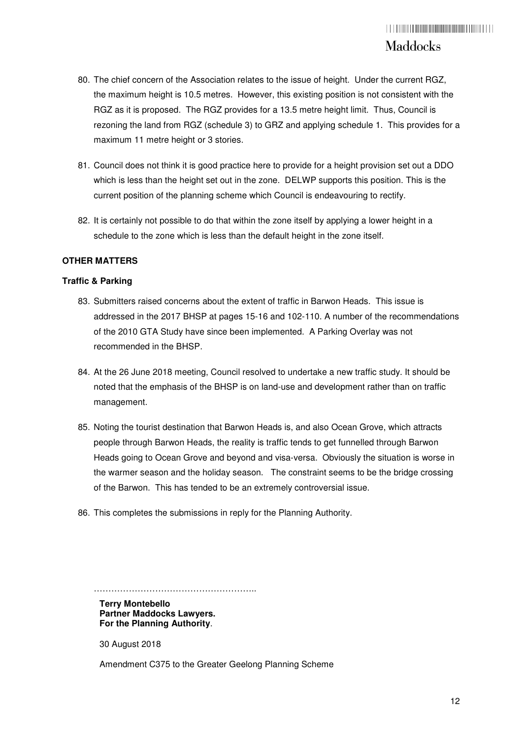- 80. The chief concern of the Association relates to the issue of height. Under the current RGZ, the maximum height is 10.5 metres. However, this existing position is not consistent with the RGZ as it is proposed. The RGZ provides for a 13.5 metre height limit. Thus, Council is rezoning the land from RGZ (schedule 3) to GRZ and applying schedule 1. This provides for a maximum 11 metre height or 3 stories.
- 81. Council does not think it is good practice here to provide for a height provision set out a DDO which is less than the height set out in the zone. DELWP supports this position. This is the current position of the planning scheme which Council is endeavouring to rectify.
- 82. It is certainly not possible to do that within the zone itself by applying a lower height in a schedule to the zone which is less than the default height in the zone itself.

#### **OTHER MATTERS**

#### **Traffic & Parking**

- 83. Submitters raised concerns about the extent of traffic in Barwon Heads. This issue is addressed in the 2017 BHSP at pages 15-16 and 102-110. A number of the recommendations of the 2010 GTA Study have since been implemented. A Parking Overlay was not recommended in the BHSP.
- 84. At the 26 June 2018 meeting, Council resolved to undertake a new traffic study. It should be noted that the emphasis of the BHSP is on land-use and development rather than on traffic management.
- 85. Noting the tourist destination that Barwon Heads is, and also Ocean Grove, which attracts people through Barwon Heads, the reality is traffic tends to get funnelled through Barwon Heads going to Ocean Grove and beyond and visa-versa. Obviously the situation is worse in the warmer season and the holiday season. The constraint seems to be the bridge crossing of the Barwon. This has tended to be an extremely controversial issue.
- 86. This completes the submissions in reply for the Planning Authority.

**Terry Montebello Partner Maddocks Lawyers. For the Planning Authority**.

………………………………………………..

30 August 2018

Amendment C375 to the Greater Geelong Planning Scheme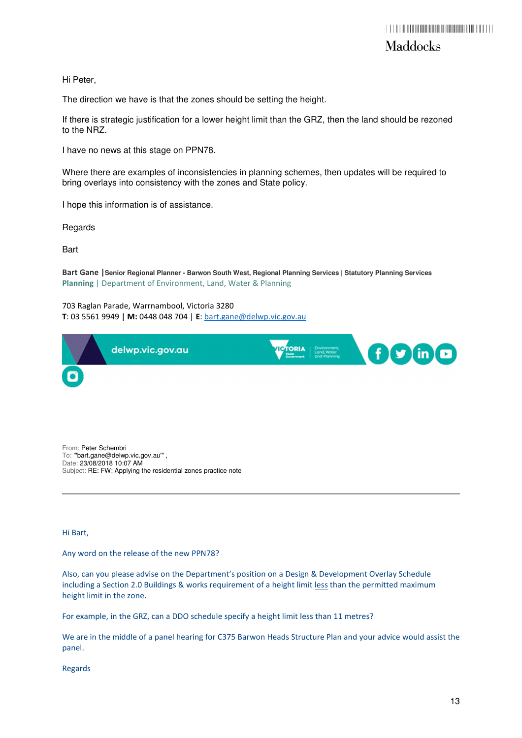Hi Peter,

The direction we have is that the zones should be setting the height.

If there is strategic justification for a lower height limit than the GRZ, then the land should be rezoned to the NRZ.

I have no news at this stage on PPN78.

Where there are examples of inconsistencies in planning schemes, then updates will be required to bring overlays into consistency with the zones and State policy.

I hope this information is of assistance.

Regards

**Bart** 

Bart Gane |**Senior Regional Planner - Barwon South West, Regional Planning Services | Statutory Planning Services**  Planning | Department of Environment, Land, Water & Planning

703 Raglan Parade, Warrnambool, Victoria 3280 T: 03 5561 9949 | M: 0448 048 704 | E: bart.gane@delwp.vic.gov.au

|                       | delwp.vic.gov.au | <b>TOTORIA</b><br>Environment,<br>Lond, Woter<br>and Planning | <b>\COMO</b> |
|-----------------------|------------------|---------------------------------------------------------------|--------------|
| $\boldsymbol{\Theta}$ |                  |                                                               |              |

From: Peter Schembri To: "'bart.gane@delwp.vic.gov.au'" , Date: 23/08/2018 10:07 AM Subject: RE: FW: Applying the residential zones practice note

Hi Bart,

Any word on the release of the new PPN78?

Also, can you please advise on the Department's position on a Design & Development Overlay Schedule including a Section 2.0 Buildings & works requirement of a height limit less than the permitted maximum height limit in the zone.

For example, in the GRZ, can a DDO schedule specify a height limit less than 11 metres?

We are in the middle of a panel hearing for C375 Barwon Heads Structure Plan and your advice would assist the panel.

Regards